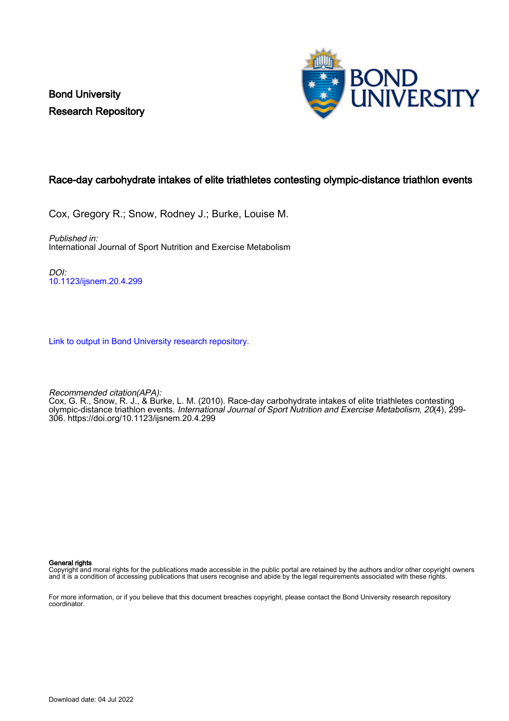Bond University Research Repository



# Race-day carbohydrate intakes of elite triathletes contesting olympic-distance triathlon events

Cox, Gregory R.; Snow, Rodney J.; Burke, Louise M.

Published in: International Journal of Sport Nutrition and Exercise Metabolism

DOI: [10.1123/ijsnem.20.4.299](https://doi.org/10.1123/ijsnem.20.4.299)

[Link to output in Bond University research repository.](https://research.bond.edu.au/en/publications/466317b4-3bfb-4e60-a9da-9b1fb270f76e)

Recommended citation(APA):

Cox, G. R., Snow, R. J., & Burke, L. M. (2010). Race-day carbohydrate intakes of elite triathletes contesting olympic-distance triathlon events. *International Journal of Sport Nutrition and Exercise Metabolism, 20*(4), 299-306.<https://doi.org/10.1123/ijsnem.20.4.299>

General rights

Copyright and moral rights for the publications made accessible in the public portal are retained by the authors and/or other copyright owners and it is a condition of accessing publications that users recognise and abide by the legal requirements associated with these rights.

For more information, or if you believe that this document breaches copyright, please contact the Bond University research repository coordinator.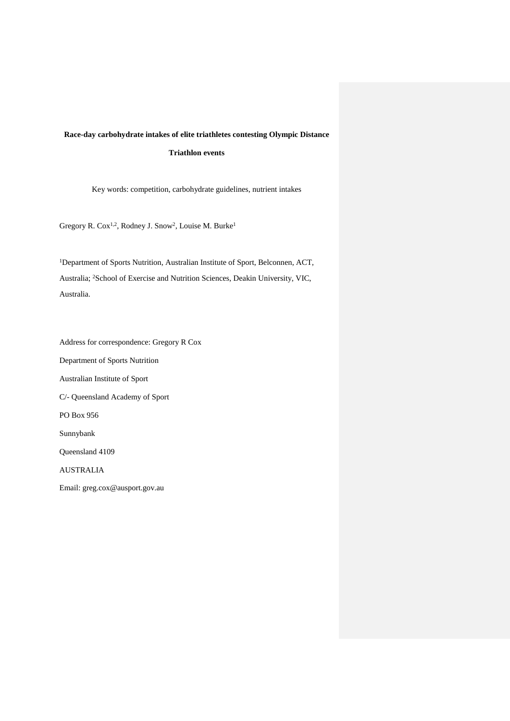# **Race-day carbohydrate intakes of elite triathletes contesting Olympic Distance Triathlon events**

Key words: competition, carbohydrate guidelines, nutrient intakes

Gregory R. Cox1,2, Rodney J. Snow2, Louise M. Burke1

<sup>1</sup>Department of Sports Nutrition, Australian Institute of Sport, Belconnen, ACT, Australia; 2School of Exercise and Nutrition Sciences, Deakin University, VIC, Australia.

Address for correspondence: Gregory R Cox Department of Sports Nutrition Australian Institute of Sport C/- Queensland Academy of Sport PO Box 956 Sunnybank Queensland 4109 AUSTRALIA Email: greg.cox@ausport.gov.au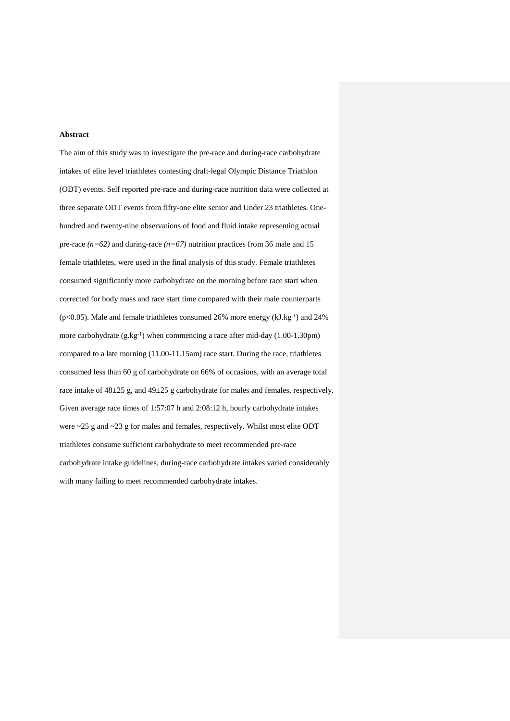#### **Abstract**

The aim of this study was to investigate the pre-race and during-race carbohydrate intakes of elite level triathletes contesting draft-legal Olympic Distance Triathlon (ODT) events. Self reported pre-race and during-race nutrition data were collected at three separate ODT events from fifty-one elite senior and Under 23 triathletes. Onehundred and twenty-nine observations of food and fluid intake representing actual pre-race  $(n=62)$  and during-race  $(n=67)$  nutrition practices from 36 male and 15 female triathletes, were used in the final analysis of this study. Female triathletes consumed significantly more carbohydrate on the morning before race start when corrected for body mass and race start time compared with their male counterparts ( $p<0.05$ ). Male and female triathletes consumed 26% more energy ( $kJ.kg^{-1}$ ) and 24% more carbohydrate  $(g.kg^{-1})$  when commencing a race after mid-day  $(1.00-1.30 \text{pm})$ compared to a late morning (11.00-11.15am) race start. During the race, triathletes consumed less than 60 g of carbohydrate on 66% of occasions, with an average total race intake of  $48\pm 25$  g, and  $49\pm 25$  g carbohydrate for males and females, respectively. Given average race times of 1:57:07 h and 2:08:12 h, hourly carbohydrate intakes were ~25 g and ~23 g for males and females, respectively. Whilst most elite ODT triathletes consume sufficient carbohydrate to meet recommended pre-race carbohydrate intake guidelines, during-race carbohydrate intakes varied considerably with many failing to meet recommended carbohydrate intakes.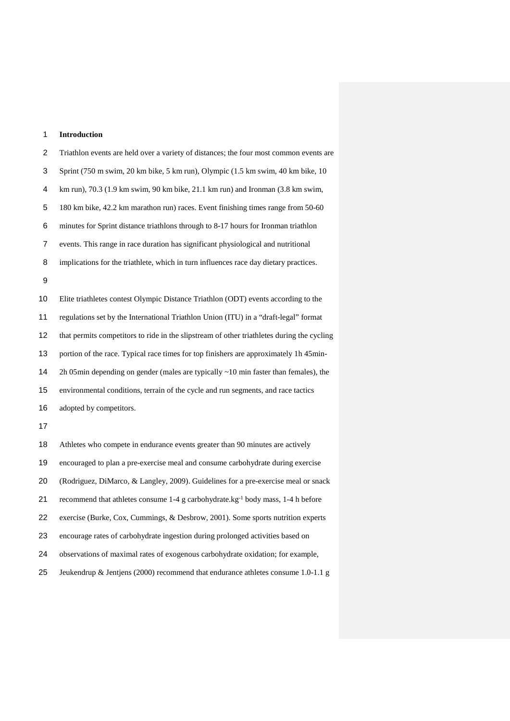### **Introduction**

 Triathlon events are held over a variety of distances; the four most common events are Sprint (750 m swim, 20 km bike, 5 km run), Olympic (1.5 km swim, 40 km bike, 10 km run), 70.3 (1.9 km swim, 90 km bike, 21.1 km run) and Ironman (3.8 km swim, 180 km bike, 42.2 km marathon run) races. Event finishing times range from 50-60 minutes for Sprint distance triathlons through to 8-17 hours for Ironman triathlon events. This range in race duration has significant physiological and nutritional implications for the triathlete, which in turn influences race day dietary practices. 

 Elite triathletes contest Olympic Distance Triathlon (ODT) events according to the regulations set by the International Triathlon Union (ITU) in a "draft-legal" format that permits competitors to ride in the slipstream of other triathletes during the cycling portion of the race. Typical race times for top finishers are approximately 1h 45min- 2h 05min depending on gender (males are typically ~10 min faster than females), the environmental conditions, terrain of the cycle and run segments, and race tactics adopted by competitors.

 Athletes who compete in endurance events greater than 90 minutes are actively encouraged to plan a pre-exercise meal and consume carbohydrate during exercise (Rodriguez, DiMarco, & Langley, 2009). Guidelines for a pre-exercise meal or snack 21 recommend that athletes consume 1-4 g carbohydrate.kg<sup>-1</sup> body mass, 1-4 h before exercise (Burke, Cox, Cummings, & Desbrow, 2001). Some sports nutrition experts encourage rates of carbohydrate ingestion during prolonged activities based on observations of maximal rates of exogenous carbohydrate oxidation; for example, Jeukendrup & Jentjens (2000) recommend that endurance athletes consume 1.0-1.1 g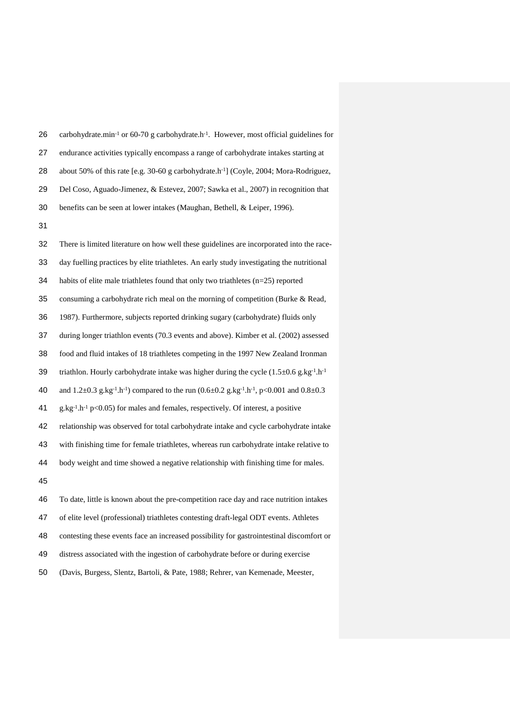| 26 | carbohydrate.min <sup>-1</sup> or 60-70 g carbohydrate.h <sup>-1</sup> . However, most official guidelines for |
|----|----------------------------------------------------------------------------------------------------------------|
| 27 | endurance activities typically encompass a range of carbohydrate intakes starting at                           |
| 28 | about 50% of this rate [e.g. 30-60 g carbohydrate.h <sup>-1</sup> ] (Coyle, 2004; Mora-Rodriguez,              |
| 29 | Del Coso, Aguado-Jimenez, & Estevez, 2007; Sawka et al., 2007) in recognition that                             |
| 30 | benefits can be seen at lower intakes (Maughan, Bethell, & Leiper, 1996).                                      |

 There is limited literature on how well these guidelines are incorporated into the race- day fuelling practices by elite triathletes. An early study investigating the nutritional habits of elite male triathletes found that only two triathletes (n=25) reported consuming a carbohydrate rich meal on the morning of competition (Burke & Read, 1987). Furthermore, subjects reported drinking sugary (carbohydrate) fluids only during longer triathlon events (70.3 events and above). Kimber et al. (2002) assessed food and fluid intakes of 18 triathletes competing in the 1997 New Zealand Ironman 39 triathlon. Hourly carbohydrate intake was higher during the cycle  $(1.5\pm 0.6 \text{ g/kg}^{-1} \cdot \text{h}^{-1})$ 40 and  $1.2\pm 0.3$  g.kg<sup>-1</sup>.h<sup>-1</sup>) compared to the run  $(0.6\pm 0.2$  g.kg<sup>-1</sup>.h<sup>-1</sup>, p<0.001 and  $0.8\pm 0.3$ 41 g.kg<sup>-1</sup>.h<sup>-1</sup> p<0.05) for males and females, respectively. Of interest, a positive relationship was observed for total carbohydrate intake and cycle carbohydrate intake with finishing time for female triathletes, whereas run carbohydrate intake relative to body weight and time showed a negative relationship with finishing time for males. To date, little is known about the pre-competition race day and race nutrition intakes of elite level (professional) triathletes contesting draft-legal ODT events. Athletes

contesting these events face an increased possibility for gastrointestinal discomfort or

distress associated with the ingestion of carbohydrate before or during exercise

(Davis, Burgess, Slentz, Bartoli, & Pate, 1988; Rehrer, van Kemenade, Meester,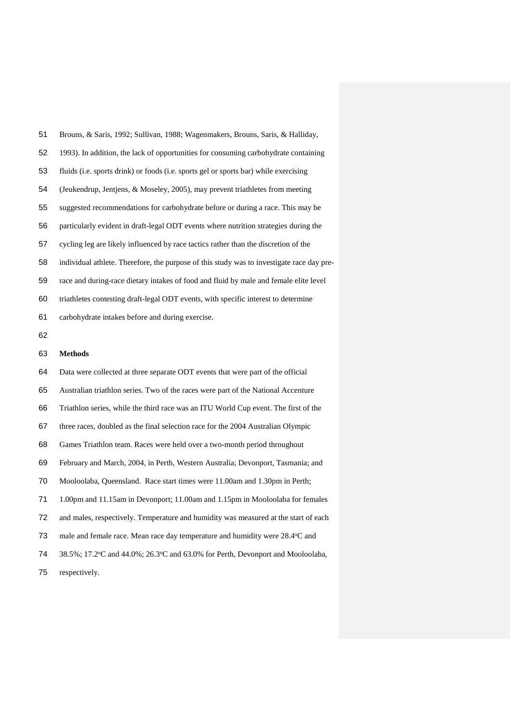| 51 | Brouns, & Saris, 1992; Sullivan, 1988; Wagenmakers, Brouns, Saris, & Halliday,            |  |
|----|-------------------------------------------------------------------------------------------|--|
| 52 | 1993). In addition, the lack of opportunities for consuming carbohydrate containing       |  |
| 53 | fluids (i.e. sports drink) or foods (i.e. sports gel or sports bar) while exercising      |  |
| 54 | (Jeukendrup, Jentjens, & Moseley, 2005), may prevent triathletes from meeting             |  |
| 55 | suggested recommendations for carbohydrate before or during a race. This may be           |  |
| 56 | particularly evident in draft-legal ODT events where nutrition strategies during the      |  |
| 57 | cycling leg are likely influenced by race tactics rather than the discretion of the       |  |
| 58 | individual athlete. Therefore, the purpose of this study was to investigate race day pre- |  |
| 59 | race and during-race dietary intakes of food and fluid by male and female elite level     |  |
| 60 | triathletes contesting draft-legal ODT events, with specific interest to determine        |  |
| 61 | carbohydrate intakes before and during exercise.                                          |  |
| 62 |                                                                                           |  |
| 63 | Methods                                                                                   |  |

 Data were collected at three separate ODT events that were part of the official Australian triathlon series. Two of the races were part of the National Accenture Triathlon series, while the third race was an ITU World Cup event. The first of the three races, doubled as the final selection race for the 2004 Australian Olympic Games Triathlon team. Races were held over a two-month period throughout February and March, 2004, in Perth, Western Australia; Devonport, Tasmania; and Mooloolaba, Queensland. Race start times were 11.00am and 1.30pm in Perth; 1.00pm and 11.15am in Devonport; 11.00am and 1.15pm in Mooloolaba for females and males, respectively. Temperature and humidity was measured at the start of each 73 male and female race. Mean race day temperature and humidity were 28.4 °C and 74 38.5%; 17.2 °C and 44.0%; 26.3 °C and 63.0% for Perth, Devonport and Mooloolaba, respectively.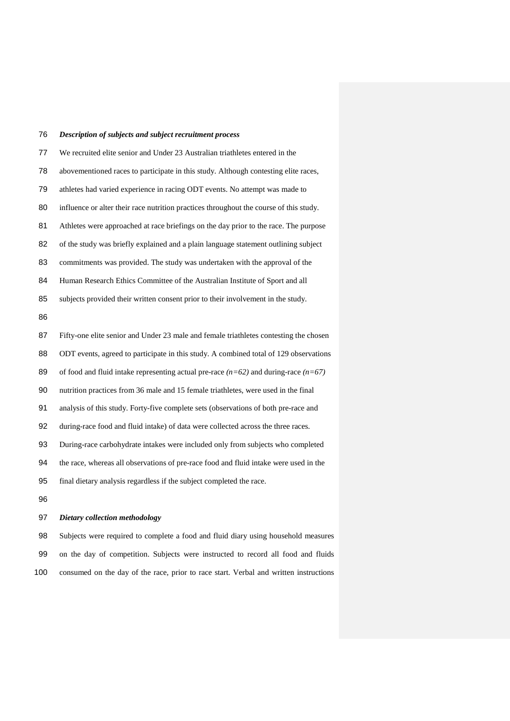# *Description of subjects and subject recruitment process*

| 77 | We recruited elite senior and Under 23 Australian triathletes entered in the            |
|----|-----------------------------------------------------------------------------------------|
| 78 | abovementioned races to participate in this study. Although contesting elite races,     |
| 79 | athletes had varied experience in racing ODT events. No attempt was made to             |
| 80 | influence or alter their race nutrition practices throughout the course of this study.  |
| 81 | Athletes were approached at race briefings on the day prior to the race. The purpose    |
| 82 | of the study was briefly explained and a plain language statement outlining subject     |
| 83 | commitments was provided. The study was undertaken with the approval of the             |
| 84 | Human Research Ethics Committee of the Australian Institute of Sport and all            |
| 85 | subjects provided their written consent prior to their involvement in the study.        |
| 86 |                                                                                         |
| 87 | Fifty-one elite senior and Under 23 male and female triathletes contesting the chosen   |
|    |                                                                                         |
| 88 | ODT events, agreed to participate in this study. A combined total of 129 observations   |
| 89 | of food and fluid intake representing actual pre-race $(n=62)$ and during-race $(n=67)$ |
| 90 | nutrition practices from 36 male and 15 female triathletes, were used in the final      |
| 91 | analysis of this study. Forty-five complete sets (observations of both pre-race and     |
| 92 | during-race food and fluid intake) of data were collected across the three races.       |
| 93 | During-race carbohydrate intakes were included only from subjects who completed         |
| 94 | the race, whereas all observations of pre-race food and fluid intake were used in the   |
| 95 | final dietary analysis regardless if the subject completed the race.                    |

# *Dietary collection methodology*

 Subjects were required to complete a food and fluid diary using household measures on the day of competition. Subjects were instructed to record all food and fluids consumed on the day of the race, prior to race start. Verbal and written instructions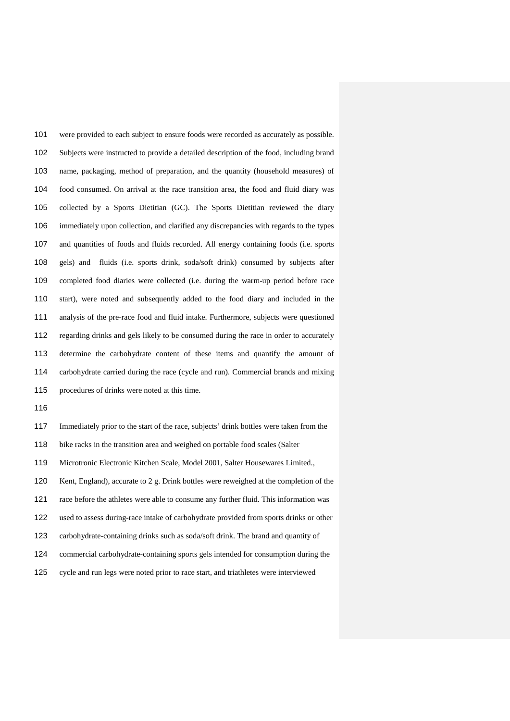were provided to each subject to ensure foods were recorded as accurately as possible. Subjects were instructed to provide a detailed description of the food, including brand name, packaging, method of preparation, and the quantity (household measures) of food consumed. On arrival at the race transition area, the food and fluid diary was collected by a Sports Dietitian (GC). The Sports Dietitian reviewed the diary immediately upon collection, and clarified any discrepancies with regards to the types and quantities of foods and fluids recorded. All energy containing foods (i.e. sports gels) and fluids (i.e. sports drink, soda/soft drink) consumed by subjects after completed food diaries were collected (i.e. during the warm-up period before race start), were noted and subsequently added to the food diary and included in the analysis of the pre-race food and fluid intake. Furthermore, subjects were questioned regarding drinks and gels likely to be consumed during the race in order to accurately determine the carbohydrate content of these items and quantify the amount of carbohydrate carried during the race (cycle and run). Commercial brands and mixing procedures of drinks were noted at this time.

 Immediately prior to the start of the race, subjects' drink bottles were taken from the bike racks in the transition area and weighed on portable food scales (Salter Microtronic Electronic Kitchen Scale, Model 2001, Salter Housewares Limited., Kent, England), accurate to 2 g. Drink bottles were reweighed at the completion of the race before the athletes were able to consume any further fluid. This information was used to assess during-race intake of carbohydrate provided from sports drinks or other carbohydrate-containing drinks such as soda/soft drink. The brand and quantity of commercial carbohydrate-containing sports gels intended for consumption during the cycle and run legs were noted prior to race start, and triathletes were interviewed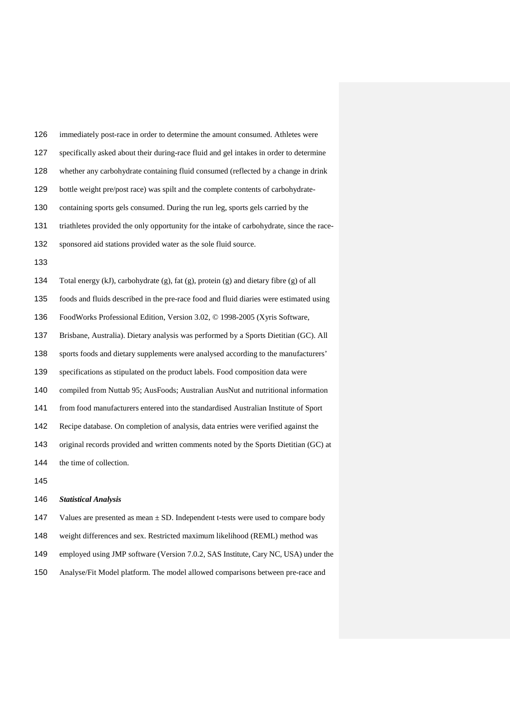| 126 | immediately post-race in order to determine the amount consumed. Athletes were            |
|-----|-------------------------------------------------------------------------------------------|
| 127 | specifically asked about their during-race fluid and gel intakes in order to determine    |
| 128 | whether any carbohydrate containing fluid consumed (reflected by a change in drink        |
| 129 | bottle weight pre/post race) was spilt and the complete contents of carbohydrate-         |
| 130 | containing sports gels consumed. During the run leg, sports gels carried by the           |
| 131 | triathletes provided the only opportunity for the intake of carbohydrate, since the race- |
| 132 | sponsored aid stations provided water as the sole fluid source.                           |
| 133 |                                                                                           |
| 134 | Total energy (kJ), carbohydrate (g), fat (g), protein (g) and dietary fibre (g) of all    |
| 135 | foods and fluids described in the pre-race food and fluid diaries were estimated using    |
| 136 | FoodWorks Professional Edition, Version 3.02, © 1998-2005 (Xyris Software,                |
| 137 | Brisbane, Australia). Dietary analysis was performed by a Sports Dietitian (GC). All      |
| 138 | sports foods and dietary supplements were analysed according to the manufacturers'        |
| 139 | specifications as stipulated on the product labels. Food composition data were            |
| 140 | compiled from Nuttab 95; AusFoods; Australian AusNut and nutritional information          |
| 141 | from food manufacturers entered into the standardised Australian Institute of Sport       |
| 142 | Recipe database. On completion of analysis, data entries were verified against the        |
| 143 | original records provided and written comments noted by the Sports Dietitian (GC) at      |
| 144 | the time of collection.                                                                   |
| 145 |                                                                                           |
|     |                                                                                           |

## *Statistical Analysis*

 Values are presented as mean ± SD. Independent t-tests were used to compare body weight differences and sex. Restricted maximum likelihood (REML) method was employed using JMP software (Version 7.0.2, SAS Institute, Cary NC, USA) under the Analyse/Fit Model platform. The model allowed comparisons between pre-race and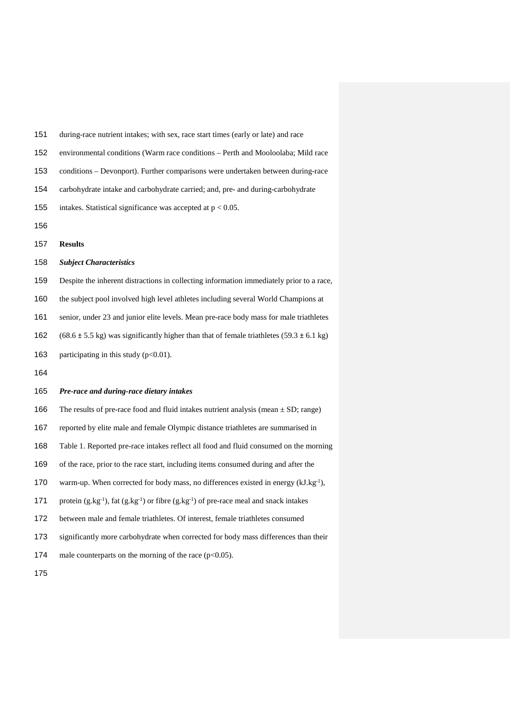during-race nutrient intakes; with sex, race start times (early or late) and race environmental conditions (Warm race conditions – Perth and Mooloolaba; Mild race conditions – Devonport). Further comparisons were undertaken between during-race carbohydrate intake and carbohydrate carried; and, pre- and during-carbohydrate 155 intakes. Statistical significance was accepted at  $p < 0.05$ . **Results** *Subject Characteristics*

 Despite the inherent distractions in collecting information immediately prior to a race, the subject pool involved high level athletes including several World Champions at senior, under 23 and junior elite levels. Mean pre-race body mass for male triathletes 162 (68.6  $\pm$  5.5 kg) was significantly higher than that of female triathletes (59.3  $\pm$  6.1 kg) 163 participating in this study  $(p<0.01)$ .

#### *Pre-race and during-race dietary intakes*

166 The results of pre-race food and fluid intakes nutrient analysis (mean  $\pm$  SD; range)

reported by elite male and female Olympic distance triathletes are summarised in

Table 1. Reported pre-race intakes reflect all food and fluid consumed on the morning

of the race, prior to the race start, including items consumed during and after the

170 warm-up. When corrected for body mass, no differences existed in energy  $(kJ.kg^{-1})$ ,

171 protein  $(g.kg^{-1})$ , fat  $(g.kg^{-1})$  or fibre  $(g.kg^{-1})$  of pre-race meal and snack intakes

between male and female triathletes. Of interest, female triathletes consumed

significantly more carbohydrate when corrected for body mass differences than their

174 male counterparts on the morning of the race  $(p<0.05)$ .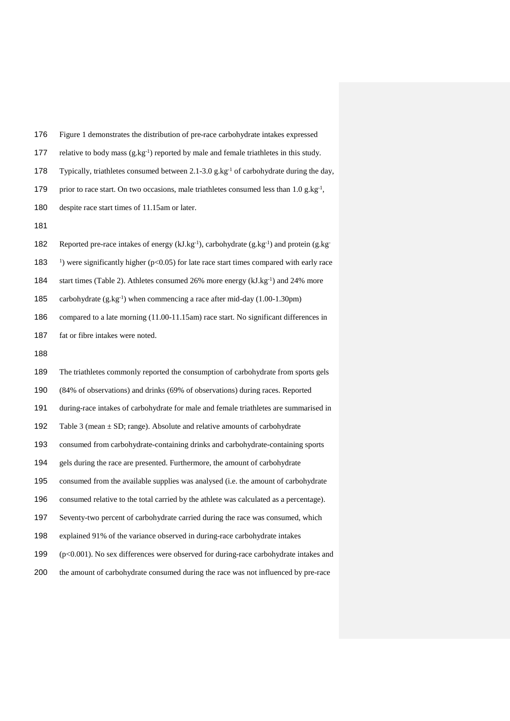| 176 | Figure 1 demonstrates the distribution of pre-race carbohydrate intakes expressed                              |  |
|-----|----------------------------------------------------------------------------------------------------------------|--|
| 177 | relative to body mass (g.kg-1) reported by male and female triathletes in this study.                          |  |
| 178 | Typically, triathletes consumed between 2.1-3.0 g.kg <sup>-1</sup> of carbohydrate during the day,             |  |
| 179 | prior to race start. On two occasions, male triathletes consumed less than 1.0 g.kg <sup>-1</sup> ,            |  |
| 180 | despite race start times of 11.15am or later.                                                                  |  |
| 181 |                                                                                                                |  |
| 182 | Reported pre-race intakes of energy ( $kJ.kg^{-1}$ ), carbohydrate ( $g.kg^{-1}$ ) and protein ( $g.kg^{-1}$ ) |  |
| 183 | <sup>1</sup> ) were significantly higher ( $p$ <0.05) for late race start times compared with early race       |  |
| 184 | start times (Table 2). Athletes consumed 26% more energy (kJ.kg-1) and 24% more                                |  |
| 185 | carbohydrate $(g.kg^{-1})$ when commencing a race after mid-day $(1.00-1.30 \text{pm})$                        |  |
| 186 | compared to a late morning (11.00-11.15am) race start. No significant differences in                           |  |
| 187 | fat or fibre intakes were noted.                                                                               |  |
| 188 |                                                                                                                |  |
| 189 | The triathletes commonly reported the consumption of carbohydrate from sports gels                             |  |
| 190 | (84% of observations) and drinks (69% of observations) during races. Reported                                  |  |
| 191 | during-race intakes of carbohydrate for male and female triathletes are summarised in                          |  |
| 192 | Table 3 (mean $\pm$ SD; range). Absolute and relative amounts of carbohydrate                                  |  |
| 193 | consumed from carbohydrate-containing drinks and carbohydrate-containing sports                                |  |
| 194 | gels during the race are presented. Furthermore, the amount of carbohydrate                                    |  |
| 195 | consumed from the available supplies was analysed (i.e. the amount of carbohydrate                             |  |
| 196 | consumed relative to the total carried by the athlete was calculated as a percentage).                         |  |
| 197 | Seventy-two percent of carbohydrate carried during the race was consumed, which                                |  |
| 198 | explained 91% of the variance observed in during-race carbohydrate intakes                                     |  |
| 199 | (p<0.001). No sex differences were observed for during-race carbohydrate intakes and                           |  |
| 200 | the amount of carbohydrate consumed during the race was not influenced by pre-race                             |  |
|     |                                                                                                                |  |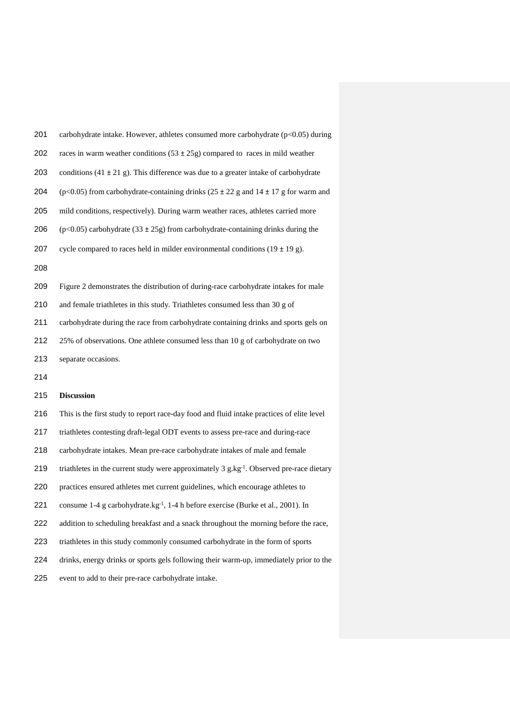| 201 | carbohydrate intake. However, athletes consumed more carbohydrate (p<0.05) during               |
|-----|-------------------------------------------------------------------------------------------------|
| 202 | races in warm weather conditions $(53 \pm 25g)$ compared to races in mild weather               |
| 203 | conditions (41 $\pm$ 21 g). This difference was due to a greater intake of carbohydrate         |
| 204 | ( $p<0.05$ ) from carbohydrate-containing drinks ( $25 \pm 22$ g and $14 \pm 17$ g for warm and |
| 205 | mild conditions, respectively). During warm weather races, athletes carried more                |
| 206 | $(p<0.05)$ carbohydrate (33 ± 25g) from carbohydrate-containing drinks during the               |
| 207 | cycle compared to races held in milder environmental conditions $(19 \pm 19 \text{ g})$ .       |
| 208 |                                                                                                 |
| 209 | Figure 2 demonstrates the distribution of during-race carbohydrate intakes for male             |
| 210 | and female triathletes in this study. Triathletes consumed less than 30 g of                    |
| 211 | carbohydrate during the race from carbohydrate containing drinks and sports gels on             |
| 212 | 25% of observations. One athlete consumed less than 10 g of carbohydrate on two                 |
| 213 | separate occasions.                                                                             |
| 214 |                                                                                                 |
|     |                                                                                                 |

# **Discussion**

- This is the first study to report race-day food and fluid intake practices of elite level
- triathletes contesting draft-legal ODT events to assess pre-race and during-race
- carbohydrate intakes. Mean pre-race carbohydrate intakes of male and female
- 219 triathletes in the current study were approximately 3 g.kg<sup>-1</sup>. Observed pre-race dietary
- practices ensured athletes met current guidelines, which encourage athletes to
- 221 consume 1-4 g carbohydrate.kg<sup>-1</sup>, 1-4 h before exercise (Burke et al., 2001). In
- addition to scheduling breakfast and a snack throughout the morning before the race,
- triathletes in this study commonly consumed carbohydrate in the form of sports
- drinks, energy drinks or sports gels following their warm-up, immediately prior to the
- event to add to their pre-race carbohydrate intake.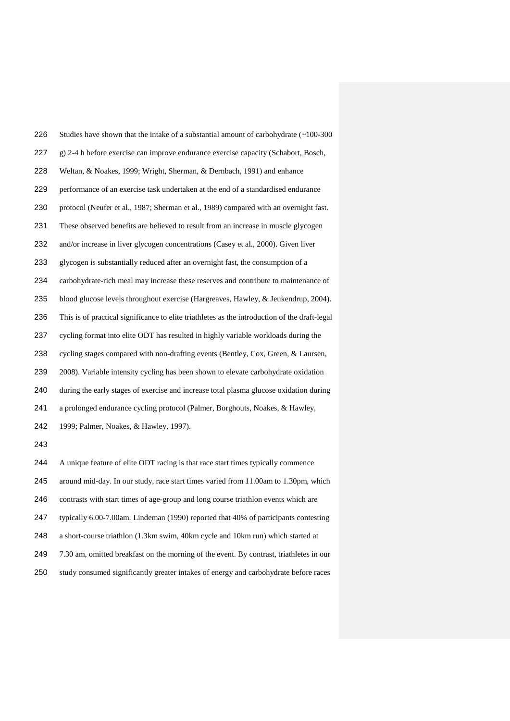| 226 | Studies have shown that the intake of a substantial amount of carbohydrate (~100-300          |
|-----|-----------------------------------------------------------------------------------------------|
| 227 | g) 2-4 h before exercise can improve endurance exercise capacity (Schabort, Bosch,            |
| 228 | Weltan, & Noakes, 1999; Wright, Sherman, & Dernbach, 1991) and enhance                        |
| 229 | performance of an exercise task undertaken at the end of a standardised endurance             |
| 230 | protocol (Neufer et al., 1987; Sherman et al., 1989) compared with an overnight fast.         |
| 231 | These observed benefits are believed to result from an increase in muscle glycogen            |
| 232 | and/or increase in liver glycogen concentrations (Casey et al., 2000). Given liver            |
| 233 | glycogen is substantially reduced after an overnight fast, the consumption of a               |
| 234 | carbohydrate-rich meal may increase these reserves and contribute to maintenance of           |
| 235 | blood glucose levels throughout exercise (Hargreaves, Hawley, & Jeukendrup, 2004).            |
| 236 | This is of practical significance to elite triathletes as the introduction of the draft-legal |
| 237 | cycling format into elite ODT has resulted in highly variable workloads during the            |
| 238 | cycling stages compared with non-drafting events (Bentley, Cox, Green, & Laursen,             |
| 239 | 2008). Variable intensity cycling has been shown to elevate carbohydrate oxidation            |
| 240 | during the early stages of exercise and increase total plasma glucose oxidation during        |
| 241 | a prolonged endurance cycling protocol (Palmer, Borghouts, Noakes, & Hawley,                  |
| 242 | 1999; Palmer, Noakes, & Hawley, 1997).                                                        |
| 243 |                                                                                               |
| 244 | A unique feature of elite ODT racing is that race start times typically commence              |
| 245 | around mid-day. In our study, race start times varied from 11.00am to 1.30pm, which           |
| 246 | contrasts with start times of age-group and long course triathlon events which are            |
| 247 | typically 6.00-7.00am. Lindeman (1990) reported that 40% of participants contesting           |
| 248 | a short-course triathlon (1.3km swim, 40km cycle and 10km run) which started at               |
| 249 | 7.30 am, omitted breakfast on the morning of the event. By contrast, triathletes in our       |
|     |                                                                                               |

study consumed significantly greater intakes of energy and carbohydrate before races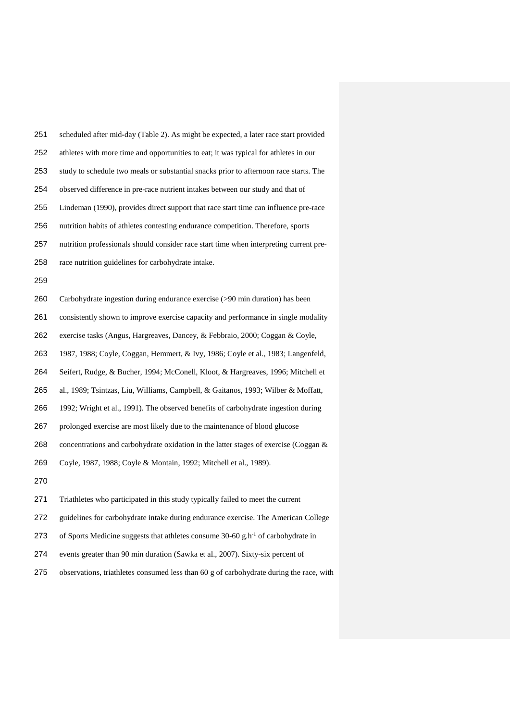| 251 | scheduled after mid-day (Table 2). As might be expected, a later race start provided         |
|-----|----------------------------------------------------------------------------------------------|
| 252 | athletes with more time and opportunities to eat; it was typical for athletes in our         |
| 253 | study to schedule two meals or substantial snacks prior to afternoon race starts. The        |
| 254 | observed difference in pre-race nutrient intakes between our study and that of               |
| 255 | Lindeman (1990), provides direct support that race start time can influence pre-race         |
| 256 | nutrition habits of athletes contesting endurance competition. Therefore, sports             |
| 257 | nutrition professionals should consider race start time when interpreting current pre-       |
| 258 | race nutrition guidelines for carbohydrate intake.                                           |
| 259 |                                                                                              |
| 260 | Carbohydrate ingestion during endurance exercise (>90 min duration) has been                 |
| 261 | consistently shown to improve exercise capacity and performance in single modality           |
| 262 | exercise tasks (Angus, Hargreaves, Dancey, & Febbraio, 2000; Coggan & Coyle,                 |
| 263 | 1987, 1988; Coyle, Coggan, Hemmert, & Ivy, 1986; Coyle et al., 1983; Langenfeld,             |
| 264 | Seifert, Rudge, & Bucher, 1994; McConell, Kloot, & Hargreaves, 1996; Mitchell et             |
| 265 | al., 1989; Tsintzas, Liu, Williams, Campbell, & Gaitanos, 1993; Wilber & Moffatt,            |
| 266 | 1992; Wright et al., 1991). The observed benefits of carbohydrate ingestion during           |
| 267 | prolonged exercise are most likely due to the maintenance of blood glucose                   |
| 268 | concentrations and carbohydrate oxidation in the latter stages of exercise (Coggan &         |
| 269 | Coyle, 1987, 1988; Coyle & Montain, 1992; Mitchell et al., 1989).                            |
| 270 |                                                                                              |
| 271 | Triathletes who participated in this study typically failed to meet the current              |
| 272 | guidelines for carbohydrate intake during endurance exercise. The American College           |
| 273 | of Sports Medicine suggests that athletes consume 30-60 g.h <sup>-1</sup> of carbohydrate in |

- events greater than 90 min duration (Sawka et al., 2007). Sixty-six percent of
- observations, triathletes consumed less than 60 g of carbohydrate during the race, with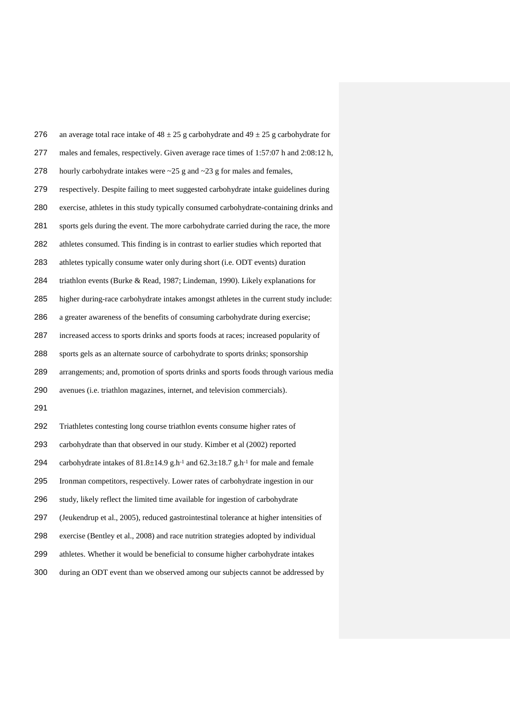| 276 | an average total race intake of $48 \pm 25$ g carbohydrate and $49 \pm 25$ g carbohydrate for                       |
|-----|---------------------------------------------------------------------------------------------------------------------|
| 277 | males and females, respectively. Given average race times of 1:57:07 h and 2:08:12 h,                               |
| 278 | hourly carbohydrate intakes were $\sim$ 25 g and $\sim$ 23 g for males and females,                                 |
| 279 | respectively. Despite failing to meet suggested carbohydrate intake guidelines during                               |
| 280 | exercise, athletes in this study typically consumed carbohydrate-containing drinks and                              |
| 281 | sports gels during the event. The more carbohydrate carried during the race, the more                               |
| 282 | athletes consumed. This finding is in contrast to earlier studies which reported that                               |
| 283 | athletes typically consume water only during short (i.e. ODT events) duration                                       |
| 284 | triathlon events (Burke & Read, 1987; Lindeman, 1990). Likely explanations for                                      |
| 285 | higher during-race carbohydrate intakes amongst athletes in the current study include:                              |
| 286 | a greater awareness of the benefits of consuming carbohydrate during exercise;                                      |
| 287 | increased access to sports drinks and sports foods at races; increased popularity of                                |
| 288 | sports gels as an alternate source of carbohydrate to sports drinks; sponsorship                                    |
| 289 | arrangements; and, promotion of sports drinks and sports foods through various media                                |
| 290 | avenues (i.e. triathlon magazines, internet, and television commercials).                                           |
| 291 |                                                                                                                     |
| 292 | Triathletes contesting long course triathlon events consume higher rates of                                         |
| 293 | carbohydrate than that observed in our study. Kimber et al (2002) reported                                          |
| 294 | carbohydrate intakes of 81.8 $\pm$ 14.9 g.h <sup>-1</sup> and 62.3 $\pm$ 18.7 g.h <sup>-1</sup> for male and female |
| 295 | Ironman competitors, respectively. Lower rates of carbohydrate ingestion in our                                     |
| 296 | study, likely reflect the limited time available for ingestion of carbohydrate                                      |
| 297 | (Jeukendrup et al., 2005), reduced gastrointestinal tolerance at higher intensities of                              |
| 298 | exercise (Bentley et al., 2008) and race nutrition strategies adopted by individual                                 |
| 299 | athletes. Whether it would be beneficial to consume higher carbohydrate intakes                                     |
| 300 | during an ODT event than we observed among our subjects cannot be addressed by                                      |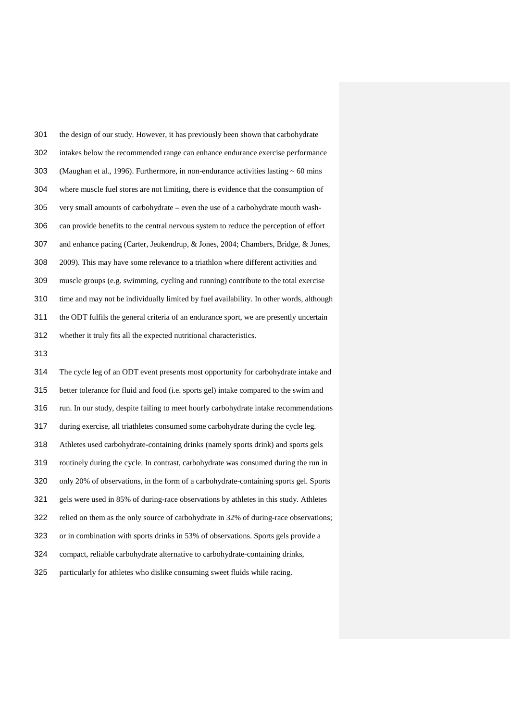the design of our study. However, it has previously been shown that carbohydrate intakes below the recommended range can enhance endurance exercise performance 303 (Maughan et al., 1996). Furthermore, in non-endurance activities lasting  $\sim 60$  mins where muscle fuel stores are not limiting, there is evidence that the consumption of very small amounts of carbohydrate – even the use of a carbohydrate mouth wash- can provide benefits to the central nervous system to reduce the perception of effort and enhance pacing (Carter, Jeukendrup, & Jones, 2004; Chambers, Bridge, & Jones, 2009). This may have some relevance to a triathlon where different activities and muscle groups (e.g. swimming, cycling and running) contribute to the total exercise time and may not be individually limited by fuel availability. In other words, although the ODT fulfils the general criteria of an endurance sport, we are presently uncertain whether it truly fits all the expected nutritional characteristics.

 The cycle leg of an ODT event presents most opportunity for carbohydrate intake and better tolerance for fluid and food (i.e. sports gel) intake compared to the swim and run. In our study, despite failing to meet hourly carbohydrate intake recommendations during exercise, all triathletes consumed some carbohydrate during the cycle leg. Athletes used carbohydrate-containing drinks (namely sports drink) and sports gels routinely during the cycle. In contrast, carbohydrate was consumed during the run in only 20% of observations, in the form of a carbohydrate-containing sports gel. Sports gels were used in 85% of during-race observations by athletes in this study. Athletes relied on them as the only source of carbohydrate in 32% of during-race observations; or in combination with sports drinks in 53% of observations. Sports gels provide a compact, reliable carbohydrate alternative to carbohydrate-containing drinks, particularly for athletes who dislike consuming sweet fluids while racing.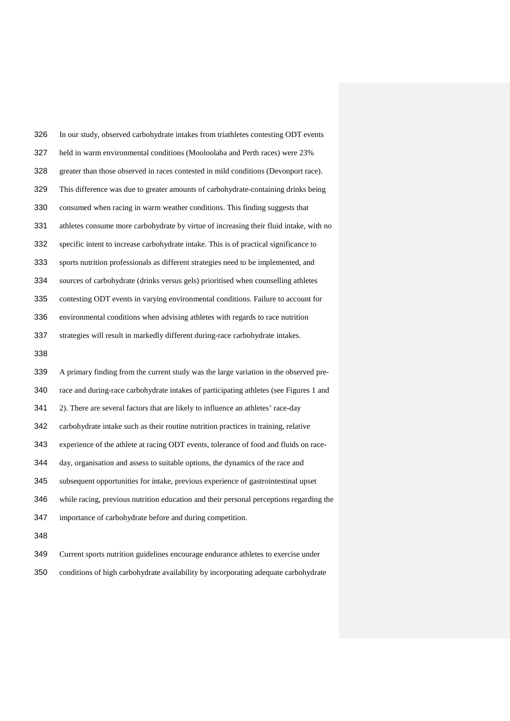| 326 | In our study, observed carbohydrate intakes from triathletes contesting ODT events      |
|-----|-----------------------------------------------------------------------------------------|
| 327 | held in warm environmental conditions (Mooloolaba and Perth races) were 23%             |
| 328 | greater than those observed in races contested in mild conditions (Devonport race).     |
| 329 | This difference was due to greater amounts of carbohydrate-containing drinks being      |
| 330 | consumed when racing in warm weather conditions. This finding suggests that             |
| 331 | athletes consume more carbohydrate by virtue of increasing their fluid intake, with no  |
| 332 | specific intent to increase carbohydrate intake. This is of practical significance to   |
| 333 | sports nutrition professionals as different strategies need to be implemented, and      |
| 334 | sources of carbohydrate (drinks versus gels) prioritised when counselling athletes      |
| 335 | contesting ODT events in varying environmental conditions. Failure to account for       |
| 336 | environmental conditions when advising athletes with regards to race nutrition          |
| 337 | strategies will result in markedly different during-race carbohydrate intakes.          |
| 338 |                                                                                         |
|     |                                                                                         |
| 339 | A primary finding from the current study was the large variation in the observed pre-   |
| 340 | race and during-race carbohydrate intakes of participating athletes (see Figures 1 and  |
| 341 | 2). There are several factors that are likely to influence an athletes' race-day        |
| 342 | carbohydrate intake such as their routine nutrition practices in training, relative     |
| 343 | experience of the athlete at racing ODT events, tolerance of food and fluids on race-   |
| 344 | day, organisation and assess to suitable options, the dynamics of the race and          |
| 345 | subsequent opportunities for intake, previous experience of gastrointestinal upset      |
| 346 | while racing, previous nutrition education and their personal perceptions regarding the |
| 347 | importance of carbohydrate before and during competition.                               |
| 348 |                                                                                         |

conditions of high carbohydrate availability by incorporating adequate carbohydrate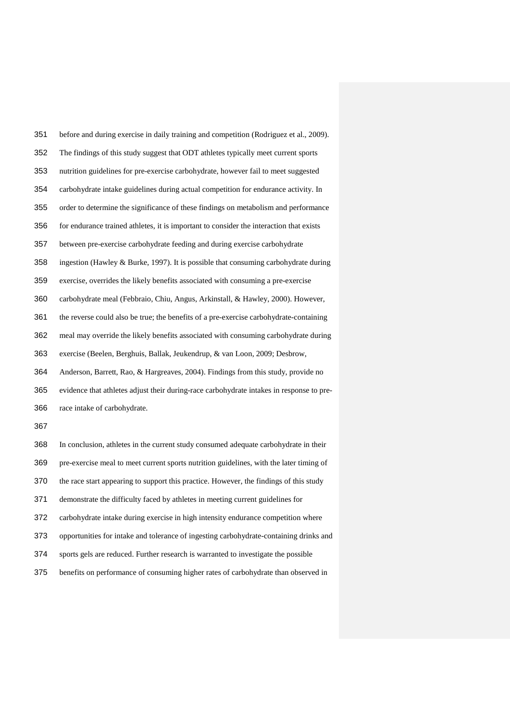| 351 | before and during exercise in daily training and competition (Rodriguez et al., 2009).   |
|-----|------------------------------------------------------------------------------------------|
| 352 | The findings of this study suggest that ODT athletes typically meet current sports       |
| 353 | nutrition guidelines for pre-exercise carbohydrate, however fail to meet suggested       |
| 354 | carbohydrate intake guidelines during actual competition for endurance activity. In      |
| 355 | order to determine the significance of these findings on metabolism and performance      |
| 356 | for endurance trained athletes, it is important to consider the interaction that exists  |
| 357 | between pre-exercise carbohydrate feeding and during exercise carbohydrate               |
| 358 | ingestion (Hawley & Burke, 1997). It is possible that consuming carbohydrate during      |
| 359 | exercise, overrides the likely benefits associated with consuming a pre-exercise         |
| 360 | carbohydrate meal (Febbraio, Chiu, Angus, Arkinstall, & Hawley, 2000). However,          |
| 361 | the reverse could also be true; the benefits of a pre-exercise carbohydrate-containing   |
| 362 | meal may override the likely benefits associated with consuming carbohydrate during      |
| 363 | exercise (Beelen, Berghuis, Ballak, Jeukendrup, & van Loon, 2009; Desbrow,               |
| 364 | Anderson, Barrett, Rao, & Hargreaves, 2004). Findings from this study, provide no        |
| 365 | evidence that athletes adjust their during-race carbohydrate intakes in response to pre- |
| 366 | race intake of carbohydrate.                                                             |
| 367 |                                                                                          |
| 368 | In conclusion, athletes in the current study consumed adequate carbohydrate in their     |
| 369 | pre-exercise meal to meet current sports nutrition guidelines, with the later timing of  |
| 370 | the race start appearing to support this practice. However, the findings of this study   |
| 371 | demonstrate the difficulty faced by athletes in meeting current guidelines for           |
| 372 | carbohydrate intake during exercise in high intensity endurance competition where        |
| 373 | opportunities for intake and tolerance of ingesting carbohydrate-containing drinks and   |

- sports gels are reduced. Further research is warranted to investigate the possible
- benefits on performance of consuming higher rates of carbohydrate than observed in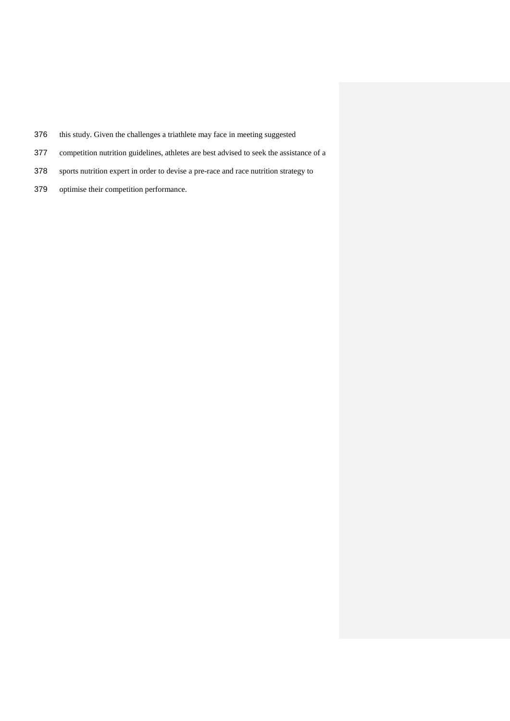- this study. Given the challenges a triathlete may face in meeting suggested
- competition nutrition guidelines, athletes are best advised to seek the assistance of a
- sports nutrition expert in order to devise a pre-race and race nutrition strategy to
- optimise their competition performance.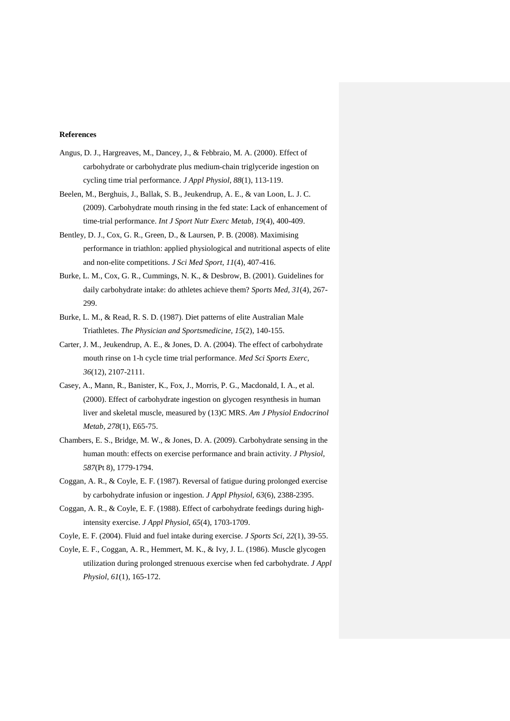## **References**

- Angus, D. J., Hargreaves, M., Dancey, J., & Febbraio, M. A. (2000). Effect of carbohydrate or carbohydrate plus medium-chain triglyceride ingestion on cycling time trial performance. *J Appl Physiol, 88*(1), 113-119.
- Beelen, M., Berghuis, J., Ballak, S. B., Jeukendrup, A. E., & van Loon, L. J. C. (2009). Carbohydrate mouth rinsing in the fed state: Lack of enhancement of time-trial performance. *Int J Sport Nutr Exerc Metab, 19*(4), 400-409.
- Bentley, D. J., Cox, G. R., Green, D., & Laursen, P. B. (2008). Maximising performance in triathlon: applied physiological and nutritional aspects of elite and non-elite competitions. *J Sci Med Sport, 11*(4), 407-416.
- Burke, L. M., Cox, G. R., Cummings, N. K., & Desbrow, B. (2001). Guidelines for daily carbohydrate intake: do athletes achieve them? *Sports Med, 31*(4), 267- 299.
- Burke, L. M., & Read, R. S. D. (1987). Diet patterns of elite Australian Male Triathletes. *The Physician and Sportsmedicine, 15*(2), 140-155.
- Carter, J. M., Jeukendrup, A. E., & Jones, D. A. (2004). The effect of carbohydrate mouth rinse on 1-h cycle time trial performance. *Med Sci Sports Exerc, 36*(12), 2107-2111.
- Casey, A., Mann, R., Banister, K., Fox, J., Morris, P. G., Macdonald, I. A., et al. (2000). Effect of carbohydrate ingestion on glycogen resynthesis in human liver and skeletal muscle, measured by (13)C MRS. *Am J Physiol Endocrinol Metab, 278*(1), E65-75.
- Chambers, E. S., Bridge, M. W., & Jones, D. A. (2009). Carbohydrate sensing in the human mouth: effects on exercise performance and brain activity. *J Physiol, 587*(Pt 8), 1779-1794.
- Coggan, A. R., & Coyle, E. F. (1987). Reversal of fatigue during prolonged exercise by carbohydrate infusion or ingestion. *J Appl Physiol, 63*(6), 2388-2395.
- Coggan, A. R., & Coyle, E. F. (1988). Effect of carbohydrate feedings during highintensity exercise. *J Appl Physiol, 65*(4), 1703-1709.
- Coyle, E. F. (2004). Fluid and fuel intake during exercise. *J Sports Sci, 22*(1), 39-55.
- Coyle, E. F., Coggan, A. R., Hemmert, M. K., & Ivy, J. L. (1986). Muscle glycogen utilization during prolonged strenuous exercise when fed carbohydrate. *J Appl Physiol, 61*(1), 165-172.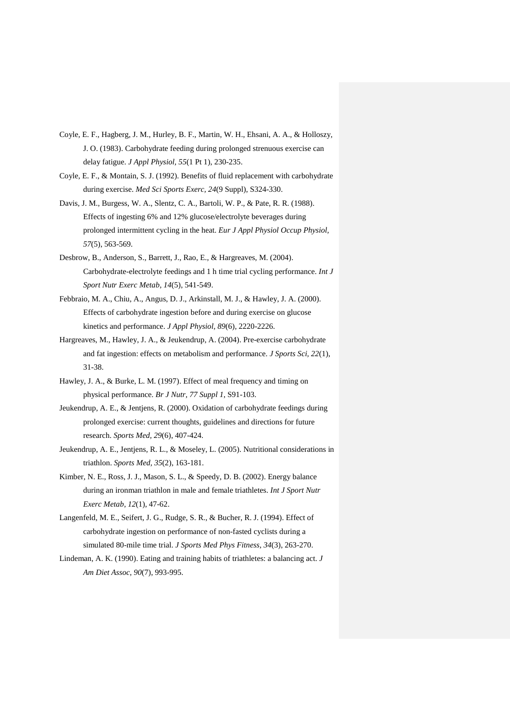- Coyle, E. F., Hagberg, J. M., Hurley, B. F., Martin, W. H., Ehsani, A. A., & Holloszy, J. O. (1983). Carbohydrate feeding during prolonged strenuous exercise can delay fatigue. *J Appl Physiol, 55*(1 Pt 1), 230-235.
- Coyle, E. F., & Montain, S. J. (1992). Benefits of fluid replacement with carbohydrate during exercise. *Med Sci Sports Exerc, 24*(9 Suppl), S324-330.
- Davis, J. M., Burgess, W. A., Slentz, C. A., Bartoli, W. P., & Pate, R. R. (1988). Effects of ingesting 6% and 12% glucose/electrolyte beverages during prolonged intermittent cycling in the heat. *Eur J Appl Physiol Occup Physiol, 57*(5), 563-569.
- Desbrow, B., Anderson, S., Barrett, J., Rao, E., & Hargreaves, M. (2004). Carbohydrate-electrolyte feedings and 1 h time trial cycling performance. *Int J Sport Nutr Exerc Metab, 14*(5), 541-549.
- Febbraio, M. A., Chiu, A., Angus, D. J., Arkinstall, M. J., & Hawley, J. A. (2000). Effects of carbohydrate ingestion before and during exercise on glucose kinetics and performance. *J Appl Physiol, 89*(6), 2220-2226.
- Hargreaves, M., Hawley, J. A., & Jeukendrup, A. (2004). Pre-exercise carbohydrate and fat ingestion: effects on metabolism and performance. *J Sports Sci, 22*(1), 31-38.
- Hawley, J. A., & Burke, L. M. (1997). Effect of meal frequency and timing on physical performance. *Br J Nutr, 77 Suppl 1*, S91-103.
- Jeukendrup, A. E., & Jentjens, R. (2000). Oxidation of carbohydrate feedings during prolonged exercise: current thoughts, guidelines and directions for future research. *Sports Med, 29*(6), 407-424.
- Jeukendrup, A. E., Jentjens, R. L., & Moseley, L. (2005). Nutritional considerations in triathlon. *Sports Med, 35*(2), 163-181.
- Kimber, N. E., Ross, J. J., Mason, S. L., & Speedy, D. B. (2002). Energy balance during an ironman triathlon in male and female triathletes. *Int J Sport Nutr Exerc Metab, 12*(1), 47-62.
- Langenfeld, M. E., Seifert, J. G., Rudge, S. R., & Bucher, R. J. (1994). Effect of carbohydrate ingestion on performance of non-fasted cyclists during a simulated 80-mile time trial. *J Sports Med Phys Fitness, 34*(3), 263-270.
- Lindeman, A. K. (1990). Eating and training habits of triathletes: a balancing act. *J Am Diet Assoc, 90*(7), 993-995.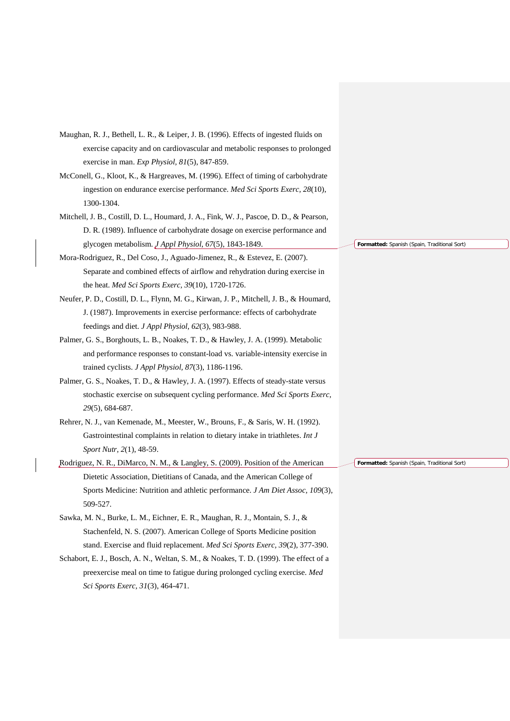| Maughan, R. J., Bethell, L. R., & Leiper, J. B. (1996). Effects of ingested fluids on   |                                              |
|-----------------------------------------------------------------------------------------|----------------------------------------------|
| exercise capacity and on cardiovascular and metabolic responses to prolonged            |                                              |
| exercise in man. Exp Physiol, 81(5), 847-859.                                           |                                              |
| McConell, G., Kloot, K., & Hargreaves, M. (1996). Effect of timing of carbohydrate      |                                              |
| ingestion on endurance exercise performance. Med Sci Sports Exerc, 28(10),              |                                              |
| 1300-1304.                                                                              |                                              |
| Mitchell, J. B., Costill, D. L., Houmard, J. A., Fink, W. J., Pascoe, D. D., & Pearson, |                                              |
| D. R. (1989). Influence of carbohydrate dosage on exercise performance and              |                                              |
| glycogen metabolism. J Appl Physiol, 67(5), 1843-1849.                                  | Formatted: Spanish (Spain, Traditional Sort) |
| Mora-Rodriguez, R., Del Coso, J., Aguado-Jimenez, R., & Estevez, E. (2007).             |                                              |
| Separate and combined effects of airflow and rehydration during exercise in             |                                              |
| the heat. Med Sci Sports Exerc, 39(10), 1720-1726.                                      |                                              |
| Neufer, P. D., Costill, D. L., Flynn, M. G., Kirwan, J. P., Mitchell, J. B., & Houmard, |                                              |
| J. (1987). Improvements in exercise performance: effects of carbohydrate                |                                              |
| feedings and diet. J Appl Physiol, 62(3), 983-988.                                      |                                              |
| Palmer, G. S., Borghouts, L. B., Noakes, T. D., & Hawley, J. A. (1999). Metabolic       |                                              |
| and performance responses to constant-load vs. variable-intensity exercise in           |                                              |
| trained cyclists. J Appl Physiol, 87(3), 1186-1196.                                     |                                              |
| Palmer, G. S., Noakes, T. D., & Hawley, J. A. (1997). Effects of steady-state versus    |                                              |
| stochastic exercise on subsequent cycling performance. Med Sci Sports Exerc,            |                                              |
| 29(5), 684-687.                                                                         |                                              |
| Rehrer, N. J., van Kemenade, M., Meester, W., Brouns, F., & Saris, W. H. (1992).        |                                              |
| Gastrointestinal complaints in relation to dietary intake in triathletes. Int J         |                                              |
| Sport Nutr, 2(1), 48-59.                                                                |                                              |
| Rodriguez, N. R., DiMarco, N. M., & Langley, S. (2009). Position of the American        | Formatted: Spanish (Spain, Traditional Sort) |
| Dietetic Association, Dietitians of Canada, and the American College of                 |                                              |
| Sports Medicine: Nutrition and athletic performance. J Am Diet Assoc, 109(3),           |                                              |
| 509-527.                                                                                |                                              |
| Sawka, M. N., Burke, L. M., Eichner, E. R., Maughan, R. J., Montain, S. J., &           |                                              |
| Stachenfeld, N. S. (2007). American College of Sports Medicine position                 |                                              |
| stand. Exercise and fluid replacement. Med Sci Sports Exerc, 39(2), 377-390.            |                                              |
| Schabort, E. J., Bosch, A. N., Weltan, S. M., & Noakes, T. D. (1999). The effect of a   |                                              |
| preexercise meal on time to fatigue during prolonged cycling exercise. Med              |                                              |
| Sci Sports Exerc, 31(3), 464-471.                                                       |                                              |
|                                                                                         |                                              |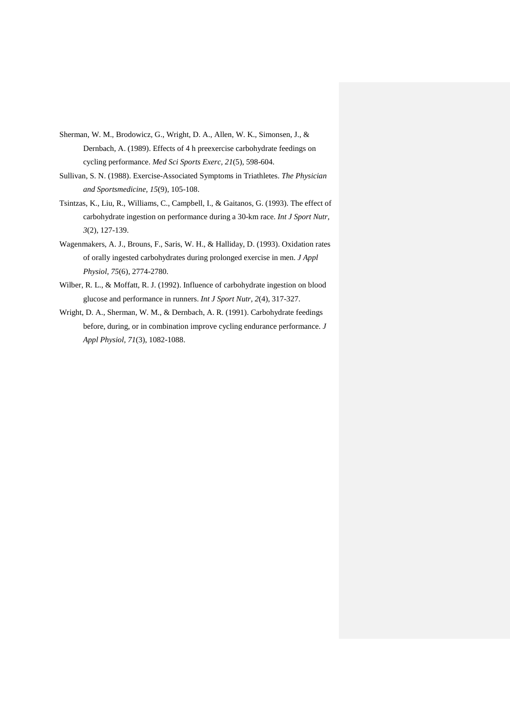- Sherman, W. M., Brodowicz, G., Wright, D. A., Allen, W. K., Simonsen, J., & Dernbach, A. (1989). Effects of 4 h preexercise carbohydrate feedings on cycling performance. *Med Sci Sports Exerc, 21*(5), 598-604.
- Sullivan, S. N. (1988). Exercise-Associated Symptoms in Triathletes. *The Physician and Sportsmedicine, 15*(9), 105-108.
- Tsintzas, K., Liu, R., Williams, C., Campbell, I., & Gaitanos, G. (1993). The effect of carbohydrate ingestion on performance during a 30-km race. *Int J Sport Nutr, 3*(2), 127-139.
- Wagenmakers, A. J., Brouns, F., Saris, W. H., & Halliday, D. (1993). Oxidation rates of orally ingested carbohydrates during prolonged exercise in men. *J Appl Physiol, 75*(6), 2774-2780.
- Wilber, R. L., & Moffatt, R. J. (1992). Influence of carbohydrate ingestion on blood glucose and performance in runners. *Int J Sport Nutr, 2*(4), 317-327.
- Wright, D. A., Sherman, W. M., & Dernbach, A. R. (1991). Carbohydrate feedings before, during, or in combination improve cycling endurance performance. *J Appl Physiol, 71*(3), 1082-1088.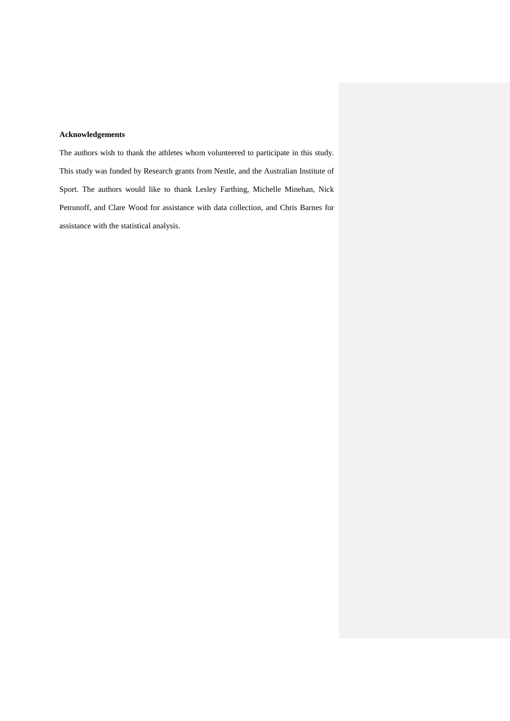## **Acknowledgements**

The authors wish to thank the athletes whom volunteered to participate in this study. This study was funded by Research grants from Nestle, and the Australian Institute of Sport. The authors would like to thank Lesley Farthing, Michelle Minehan, Nick Petrunoff, and Clare Wood for assistance with data collection, and Chris Barnes for assistance with the statistical analysis.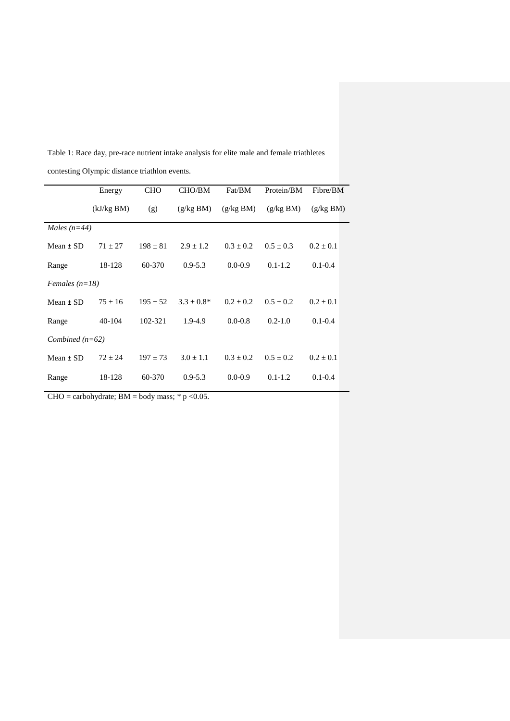|                   | Energy     | <b>CHO</b> | CHO/BM          | Fat/BM      | Protein/BM  | Fibre/BM      |  |  |  |  |
|-------------------|------------|------------|-----------------|-------------|-------------|---------------|--|--|--|--|
|                   | (kJ/kg BM) | (g)        | (g/kg BM)       | (g/kg BM)   | (g/kg BM)   | (g/kg BM)     |  |  |  |  |
| Males $(n=44)$    |            |            |                 |             |             |               |  |  |  |  |
| Mean $\pm$ SD     | $71 + 27$  | $198 + 81$ | $2.9 + 1.2$     | $0.3 + 0.2$ | $0.5 + 0.3$ | $0.2 \pm 0.1$ |  |  |  |  |
| Range             | 18-128     | 60-370     | $0.9 - 5.3$     | $0.0 - 0.9$ | $0.1 - 1.2$ | $0.1 - 0.4$   |  |  |  |  |
| Females $(n=18)$  |            |            |                 |             |             |               |  |  |  |  |
| Mean $\pm$ SD     | $75 + 16$  | $195 + 52$ | $3.3 \pm 0.8^*$ | $0.2 + 0.2$ | $0.5 + 0.2$ | $0.2 + 0.1$   |  |  |  |  |
| Range             | 40-104     | 102-321    | 1.9-4.9         | $0.0 - 0.8$ | $0.2 - 1.0$ | $0.1 - 0.4$   |  |  |  |  |
| Combined $(n=62)$ |            |            |                 |             |             |               |  |  |  |  |
| Mean $\pm$ SD     | $72 + 24$  | $197 + 73$ | $3.0 + 1.1$     | $0.3 + 0.2$ | $0.5 + 0.2$ | $0.2 + 0.1$   |  |  |  |  |
| Range             | 18-128     | 60-370     | $0.9 - 5.3$     | $0.0 - 0.9$ | $0.1 - 1.2$ | $0.1 - 0.4$   |  |  |  |  |

Table 1: Race day, pre-race nutrient intake analysis for elite male and female triathletes

contesting Olympic distance triathlon events.

CHO = carbohydrate;  $BM =$  body mass; \* p <0.05.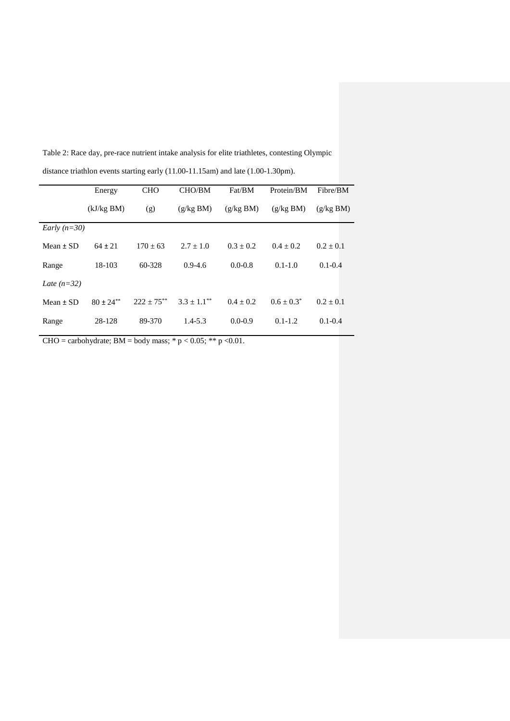Energy (kJ/kg BM) CHO (g) CHO/BM (g/kg BM) Fat/BM (g/kg BM) Protein/BM (g/kg BM) Fibre/BM (g/kg BM) *Early (n=30)* Mean  $\pm$  SD 64  $\pm$  21 170  $\pm$  63 2.7  $\pm$  1.0 0.3  $\pm$  0.2 0.4  $\pm$  0.2 0.2  $\pm$  0.1 Range 18-103 60-328 0.9-4.6 0.0-0.8 0.1-1.0 0.1-0.4 *Late (n=32)* Mean  $\pm$  SD 80  $\pm$  24\*\* 222  $\pm$  75\*\* 3.3  $\pm$  1.1\*\* 0.4  $\pm$  0.2 0.6  $\pm$  0.3\* 0.2  $\pm$  0.1 Range 28-128 89-370 1.4-5.3 0.0-0.9 0.1-1.2 0.1-0.4

Table 2: Race day, pre-race nutrient intake analysis for elite triathletes, contesting Olympic distance triathlon events starting early (11.00-11.15am) and late (1.00-1.30pm).

CHO = carbohydrate; BM = body mass;  $* p < 0.05$ ;  $** p < 0.01$ .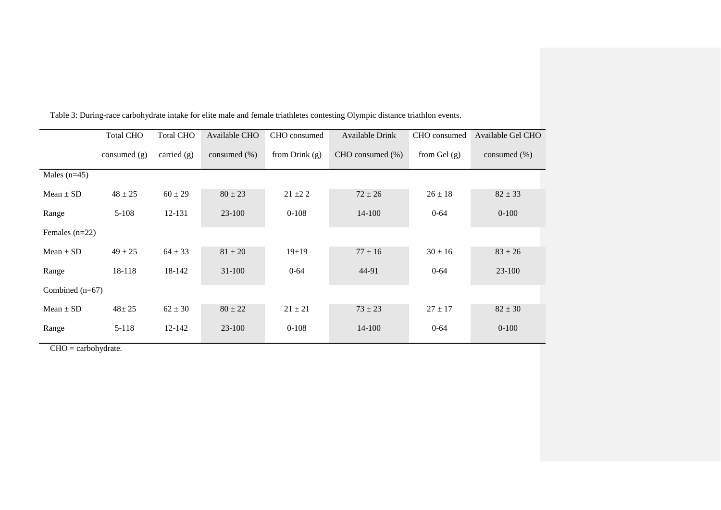|                   | <b>Total CHO</b> | <b>Total CHO</b> | Available CHO    | CHO consumed     | <b>Available Drink</b> | CHO consumed   | Available Gel CHO |
|-------------------|------------------|------------------|------------------|------------------|------------------------|----------------|-------------------|
|                   | consumed $(g)$   | carried $(g)$    | consumed $(\% )$ | from Drink $(g)$ | CHO consumed (%)       | from Gel $(g)$ | consumed $(\% )$  |
| Males $(n=45)$    |                  |                  |                  |                  |                        |                |                   |
| Mean $\pm$ SD     | $48 \pm 25$      | $60 \pm 29$      | $80 \pm 23$      | $21 \pm 22$      | $72 \pm 26$            | $26 \pm 18$    | $82 \pm 33$       |
| Range             | $5-108$          | 12-131           | $23 - 100$       | $0-108$          | $14 - 100$             | $0 - 64$       | $0-100$           |
| Females $(n=22)$  |                  |                  |                  |                  |                        |                |                   |
| Mean $\pm$ SD     | $49 \pm 25$      | $64 \pm 33$      | $81 \pm 20$      | 19±19            | $77 \pm 16$            | $30 \pm 16$    | $83 \pm 26$       |
| Range             | 18-118           | 18-142           | $31 - 100$       | $0 - 64$         | 44-91                  | $0 - 64$       | $23-100$          |
| Combined $(n=67)$ |                  |                  |                  |                  |                        |                |                   |
| $Mean \pm SD$     | $48 + 25$        | $62 \pm 30$      | $80 \pm 22$      | $21 \pm 21$      | $73 \pm 23$            | $27 \pm 17$    | $82 \pm 30$       |
| Range             | $5 - 118$        | 12-142           | $23-100$         | $0-108$          | 14-100                 | $0 - 64$       | $0 - 100$         |

Table 3: During-race carbohydrate intake for elite male and female triathletes contesting Olympic distance triathlon events.

CHO = carbohydrate.